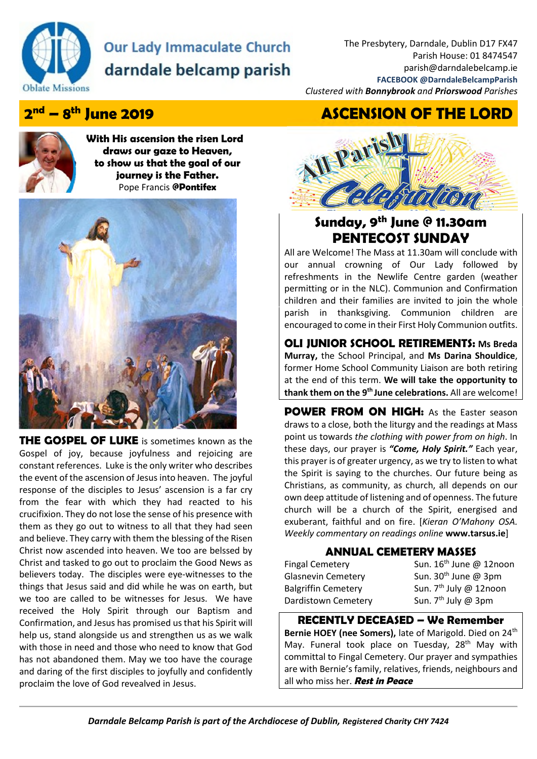

# **Our Lady Immaculate Church** darndale belcamp parish

The Presbytery, Darndale, Dublin D17 FX47 Parish House: 01 8474547 parish@darndalebelcamp.ie **FACEBOOK @DarndaleBelcampParish**  *Clustered with Bonnybrook and Priorswood Parishes* 

**nd – 8th June 2019 ASCENSION OF THE LORD**

## 2<sup>nd</sup> – 8<sup>th</sup> June 2019



**With His ascension the risen Lord draws our gaze to Heaven, to show us that the goal of our journey is the Father.**  Pope Francis **@Pontifex** 



**THE GOSPEL OF LUKE** is sometimes known as the Gospel of joy, because joyfulness and rejoicing are constant references. Luke is the only writer who describes the event of the ascension of Jesus into heaven. The joyful response of the disciples to Jesus' ascension is a far cry from the fear with which they had reacted to his crucifixion. They do not lose the sense of his presence with them as they go out to witness to all that they had seen and believe. They carry with them the blessing of the Risen Christ now ascended into heaven. We too are belssed by Christ and tasked to go out to proclaim the Good News as believers today. The disciples were eye-witnesses to the things that Jesus said and did while he was on earth, but we too are called to be witnesses for Jesus. We have received the Holy Spirit through our Baptism and Confirmation, and Jesus has promised us that his Spirit will help us, stand alongside us and strengthen us as we walk with those in need and those who need to know that God has not abandoned them. May we too have the courage and daring of the first disciples to joyfully and confidently proclaim the love of God revealved in Jesus.



### **Sunday, 9th June @ 11.30am PENTECOST SUNDAY**

All are Welcome! The Mass at 11.30am will conclude with our annual crowning of Our Lady followed by refreshments in the Newlife Centre garden (weather permitting or in the NLC). Communion and Confirmation children and their families are invited to join the whole parish in thanksgiving. Communion children are encouraged to come in their First Holy Communion outfits.

#### **OLI JUNIOR SCHOOL RETIREMENTS: Ms Breda Murray,** the School Principal, and **Ms Darina Shouldice**, former Home School Community Liaison are both retiring at the end of this term. **We will take the opportunity to thank them on the 9th June celebrations.** All are welcome!

**POWER FROM ON HIGH:** As the Easter season draws to a close, both the liturgy and the readings at Mass point us towards *the clothing with power from on high*. In these days, our prayer is *"Come, Holy Spirit."* Each year, this prayer is of greater urgency, as we try to listen to what the Spirit is saying to the churches. Our future being as Christians, as community, as church, all depends on our own deep attitude of listening and of openness. The future church will be a church of the Spirit, energised and exuberant, faithful and on fire. [*Kieran O'Mahony OSA. Weekly commentary on readings online* **www.tarsus.ie**]

### **ANNUAL CEMETERY MASSES**

Dardistown Cemetery Sun. 7<sup>th</sup> July @ 3pm

Fingal Cemetery Sun. 16<sup>th</sup> June @ 12noon Glasnevin Cemetery Sun. 30<sup>th</sup> June @ 3pm Balgriffin Cemetery Sun. 7<sup>th</sup> July @ 12noon

#### **RECENTLY DECEASED – We Remember**

Bernie HOEY (nee Somers), late of Marigold. Died on 24<sup>th</sup> May. Funeral took place on Tuesday, 28<sup>th</sup> May with committal to Fingal Cemetery. Our prayer and sympathies are with Bernie's family, relatives, friends, neighbours and all who miss her. **Rest in Peace**